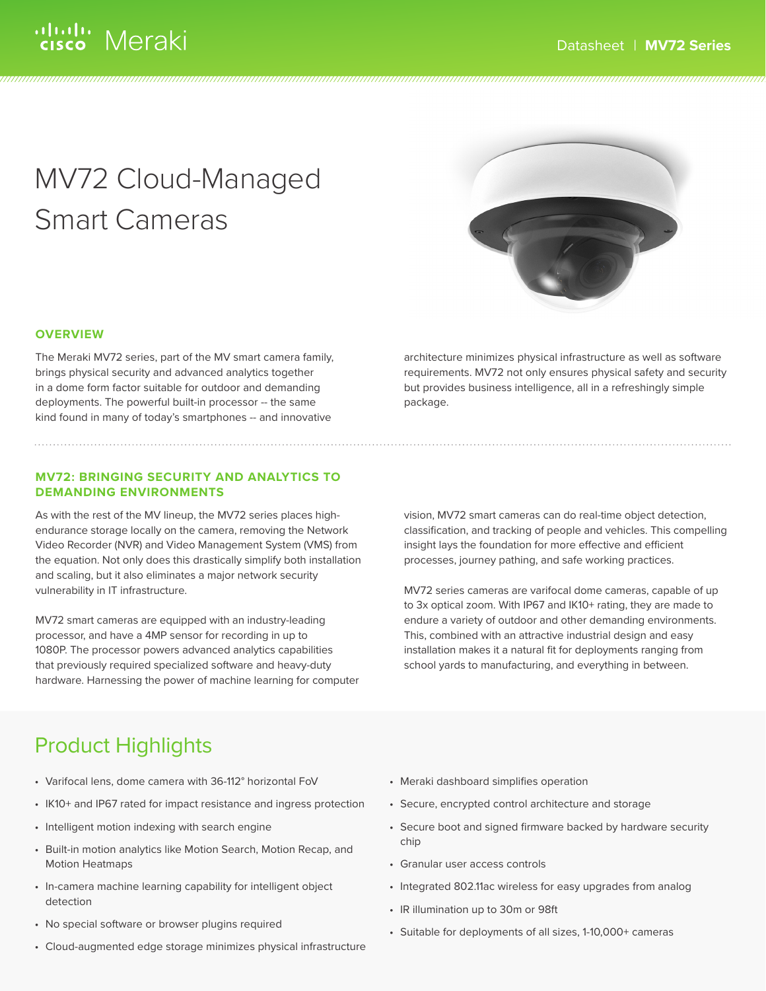# MV72 Cloud-Managed Smart Cameras



### **OVERVIEW**

The Meraki MV72 series, part of the MV smart camera family, brings physical security and advanced analytics together in a dome form factor suitable for outdoor and demanding deployments. The powerful built-in processor -- the same kind found in many of today's smartphones -- and innovative

### **MV72: BRINGING SECURITY AND ANALYTICS TO DEMANDING ENVIRONMENTS**

As with the rest of the MV lineup, the MV72 series places highendurance storage locally on the camera, removing the Network Video Recorder (NVR) and Video Management System (VMS) from the equation. Not only does this drastically simplify both installation and scaling, but it also eliminates a major network security vulnerability in IT infrastructure.

MV72 smart cameras are equipped with an industry-leading processor, and have a 4MP sensor for recording in up to 1080P. The processor powers advanced analytics capabilities that previously required specialized software and heavy-duty hardware. Harnessing the power of machine learning for computer architecture minimizes physical infrastructure as well as software requirements. MV72 not only ensures physical safety and security but provides business intelligence, all in a refreshingly simple package.

vision, MV72 smart cameras can do real-time object detection, classification, and tracking of people and vehicles. This compelling insight lays the foundation for more effective and efficient processes, journey pathing, and safe working practices.

MV72 series cameras are varifocal dome cameras, capable of up to 3x optical zoom. With IP67 and IK10+ rating, they are made to endure a variety of outdoor and other demanding environments. This, combined with an attractive industrial design and easy installation makes it a natural fit for deployments ranging from school yards to manufacturing, and everything in between.

## Product Highlights

- Varifocal lens, dome camera with 36-112° horizontal FoV
- IK10+ and IP67 rated for impact resistance and ingress protection
- Intelligent motion indexing with search engine
- Built-in motion analytics like Motion Search, Motion Recap, and Motion Heatmaps
- In-camera machine learning capability for intelligent object detection
- No special software or browser plugins required
- Cloud-augmented edge storage minimizes physical infrastructure
- Meraki dashboard simplifies operation
- Secure, encrypted control architecture and storage
- Secure boot and signed firmware backed by hardware security chip
- Granular user access controls
- Integrated 802.11ac wireless for easy upgrades from analog
- IR illumination up to 30m or 98ft
- Suitable for deployments of all sizes, 1-10,000+ cameras